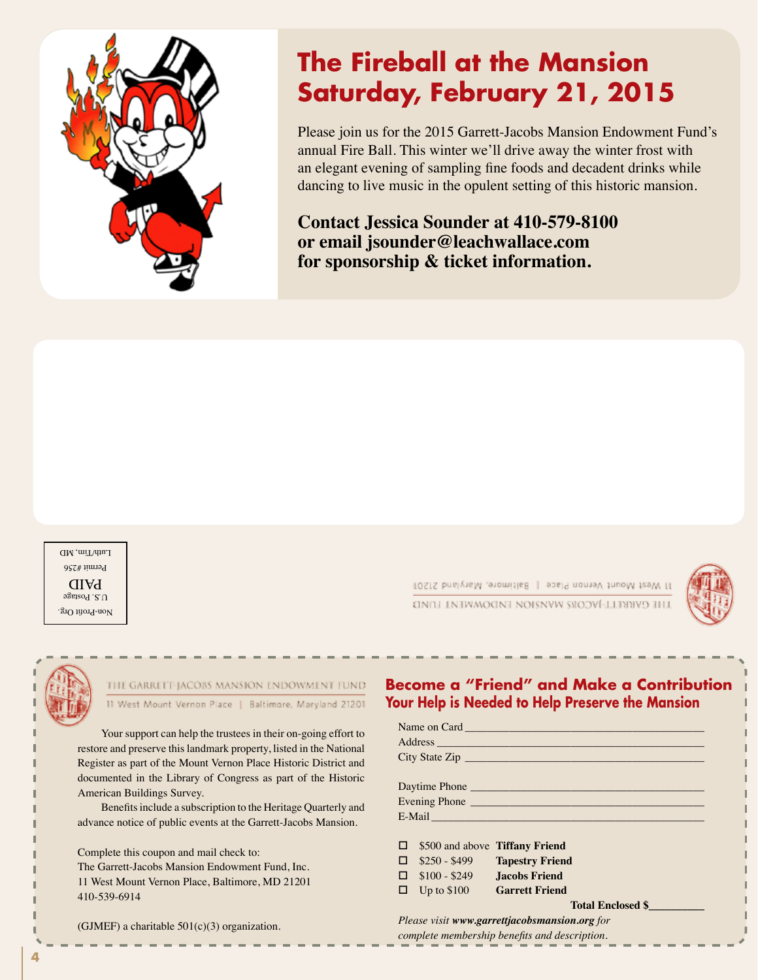

# **The Fireball at the Mansion Saturday, February 21, 2015**

Please join us for the 2015 Garrett-Jacobs Mansion Endowment Fund's annual Fire Ball. This winter we'll drive away the winter frost with an elegant evening of sampling fine foods and decadent drinks while dancing to live music in the opulent setting of this historic mansion.

**Contact Jessica Sounder at 410-579-8100 or email jsounder@leachwallace.com for sponsorship & ticket information.**

Non-Profit Org.  $0.5.$  Postage PAID Permit #256 Luth/Tim, MD (\$75 of each ticket is tax deductible. \$100 of each ticket represents the fair market value

11 West Mount Vernon Place | sasifimore, Maryland 21201 LHE CYBELL-VCOR WYRION FMDOMMENT LOMD





## THE GARRETT-JACOBS MANSION ENDOWMENT FUND **Address:** Wount Vernon P

Your support can help the trustees in their on-going effort to restore and preserve this landmark property, listed in the National **Register as part of the Mount Vernon Place Historic District and** documented in the Library of Congress as part of the Historic American Buildings Survey.

Benefits include a subscription to the Heritage Quarterly and advance notice of public events at the Garrett-Jacobs Mansion.

> Complete this coupon and mail check to: The Garrett-Jacobs Mansion Endowment Fund, Inc. 11 West Mount Vernon Place, Baltimore, MD 21201 410-539-6914

(GJMEF) a charitable  $501(c)(3)$  organization. **TICKETS** (GJMEF) a charitable 50

#### **Become a "Friend" and Make a Contribution Your Help is Needed to Help Preserve the Mansion**

|               |                                       | Address and the contract of the contract of the contract of the contract of the contract of the contract of the |  |
|---------------|---------------------------------------|-----------------------------------------------------------------------------------------------------------------|--|
|               |                                       | City State Zip                                                                                                  |  |
|               |                                       |                                                                                                                 |  |
|               |                                       |                                                                                                                 |  |
| Evening Phone |                                       |                                                                                                                 |  |
|               |                                       |                                                                                                                 |  |
|               |                                       |                                                                                                                 |  |
|               | $\Box$ \$500 and above Tiffany Friend |                                                                                                                 |  |
|               |                                       | $\Box$ \$250 - \$499 Tapestry Friend                                                                            |  |
|               | $\Box$ \$100 - \$249 Jacobs Friend    |                                                                                                                 |  |
|               | □ Up to \$100 Garrett Friend          |                                                                                                                 |  |
|               | <b>Total Enclosed \$</b>              |                                                                                                                 |  |
|               |                                       | Please visit www.garrettjacobsmansion.org for                                                                   |  |

*complete membership benefits and description.*

**4** *As a thank you to members of the Engineer's Club of Baltimore, Sunday Brunch on 2/12/12 is*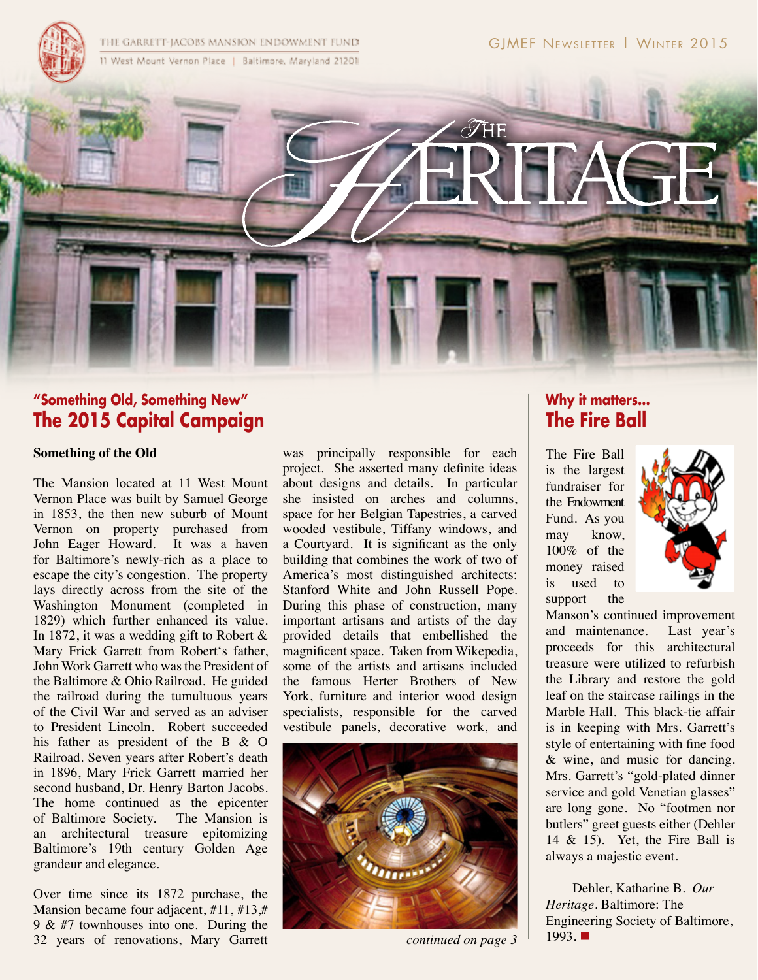

# $\mathscr{T}$ HE

# **"Something Old, Something New" The 2015 Capital Campaign**

#### **Something of the Old**

The Mansion located at 11 West Mount Vernon Place was built by Samuel George in 1853, the then new suburb of Mount Vernon on property purchased from John Eager Howard. It was a haven for Baltimore's newly-rich as a place to escape the city's congestion. The property lays directly across from the site of the Washington Monument (completed in 1829) which further enhanced its value. In 1872, it was a wedding gift to Robert & Mary Frick Garrett from Robert's father, John Work Garrett who was the President of the Baltimore & Ohio Railroad. He guided the railroad during the tumultuous years of the Civil War and served as an adviser to President Lincoln. Robert succeeded his father as president of the B & O Railroad. Seven years after Robert's death in 1896, Mary Frick Garrett married her second husband, Dr. Henry Barton Jacobs. The home continued as the epicenter of Baltimore Society. The Mansion is an architectural treasure epitomizing Baltimore's 19th century Golden Age grandeur and elegance.

Over time since its 1872 purchase, the Mansion became four adjacent, #11, #13,# 9 & #7 townhouses into one. During the 32 years of renovations, Mary Garrett

was principally responsible for each project. She asserted many definite ideas about designs and details. In particular she insisted on arches and columns, space for her Belgian Tapestries, a carved  $\parallel$  Fund. As wooded vestibule, Tiffany windows, and  $\frac{1}{\sqrt{2\pi}}$   $\frac{1}{\sqrt{2\pi}}$ a Courtyard. It is significant as the only  $\begin{array}{c|c}\n\text{may} & \text{know,} \\
\text{now} & \text{if the} \\
\end{array}$ building that combines the work of two of  $\int_{\text{R}}$  money raise America's most distinguished architects: **money** rain Stanford White and John Russell Pope. During this phase of construction, many  $\begin{array}{c|c} \text{support} & \text{the} \\ \text{During this phase of construction, many} & \text{support} \end{array}$ important artisans and artists of the day provided details that embellished the magnificent space. Taken from Wikepedia, some of the artists and artisans included the famous Herter Brothers of New York, furniture and interior wood design specialists, responsible for the carved vestibule panels, decorative work, and s significant as the only  $\frac{100\%}{100\%}$  of the aisung  $\Omega$  or construction, many  $\begin{bmatrix} 1 & 1 \\ 1 & 1 \end{bmatrix}$ 



# **Why it matters... The Fire Ball**

The Fire Ball is the largest fundraiser for the Endowment Fund. As you may know, 100% of the money raised is used to support the



Manson's continued improvement that embellished the and maintenance. Last year's proceeds for this architectural included treasure were utilized to refurbish the Library and restore the gold  $\log n$  leaf on the staircase railings in the d | Marble Hall. This black-tie affair nd is in keeping with Mrs. Garrett's  $\frac{1}{2}$  style of entertaining with fine food  $\&$  wine, and music for dancing. Mrs. Garrett's "gold-plated dinner service and gold Venetian glasses" are long gone. No "footmen nor butlers" greet guests either (Dehler  $14 \& 15$ . Yet, the Fire Ball is always a majestic event.  $\frac{d}{dx}$  **Gregoric Weiter Endowment Fund (G)**  $\mathcal{E}^{\text{II}}$  real on the of will

Dehler, Katharine B. *Our*  Engineering Society of Baltimore, 1993. **n**  $\frac{1993.1}{200}$  continued on page 3<sup>1</sup>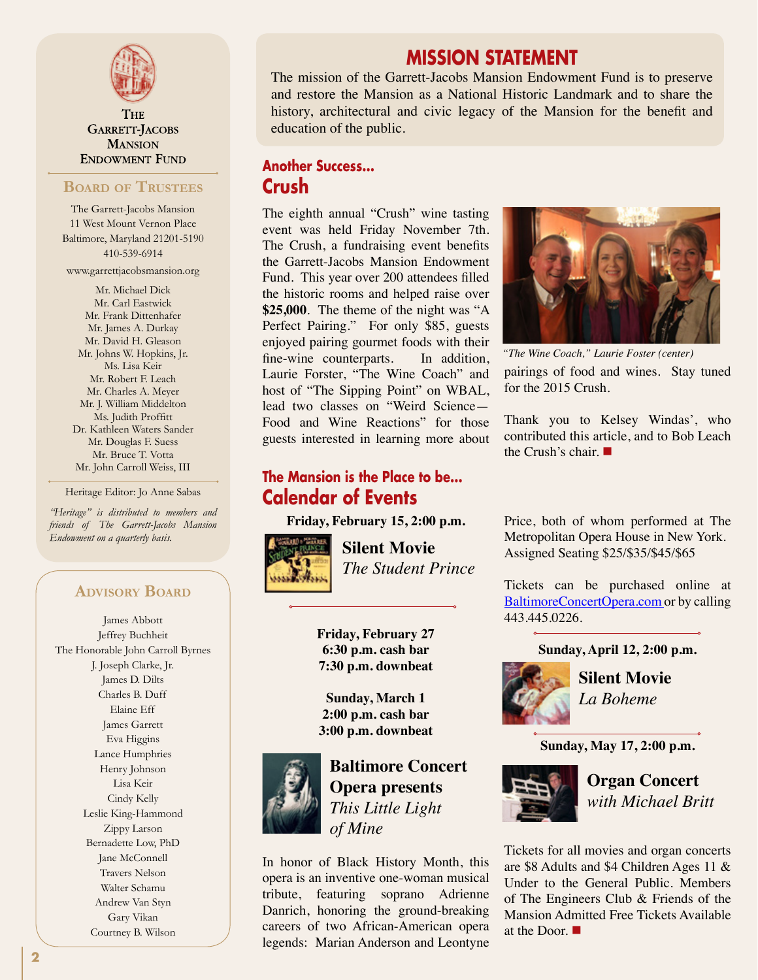

**THE** GARRETT-JACOBS **MANSION ENDOWMENT FUND** 

#### **Board of Trustees**

The Garrett-Jacobs Mansion 11 West Mount Vernon Place Baltimore, Maryland 21201-5190 410-539-6914

www.garrettjacobsmansion.org

Mr. Michael Dick Mr. Carl Eastwick Mr. Frank Dittenhafer Mr. James A. Durkay Mr. David H. Gleason Mr. Johns W. Hopkins, Jr. Ms. Lisa Keir Mr. Robert F. Leach Mr. Charles A. Meyer Mr. J. William Middelton<br>Dr. Jackie Bucfatt Ms. Judith Proffitt ns. Juan 1 roma<br>Dr. Kathleen Waters Sander Mr. Douglas F. Suess **Example 31 Strategies** Britterested Mr. Bruce T. Votta Mr. John Carroll Weiss, III

Heritage Editor: Jo Anne Sabas

"Heritage" is distributed to members and *friends of The Garrett-Jacobs Mansion Endowment on a quarterly basis.*

#### **Advisory Board**

**Sunday, March 29 - Organ Concert**

 **The Student Prince Prince Prince Prince Prince Prince Prince Prince Prince Prince Prince Prince Prince Prince** 

James Abbott Jeffrey Buchheit The Honorable John Carroll Byrnes J. Joseph Clarke, Jr. James D. Dilts  **La Boheme** Charles B. Duff Elaine Eff
and Concert **Concert Eff** James Garrett Eva Higgins **Examged at 2:00 p.m. at the Garrett-Jacobs Mansion. Tickets are set as Adults and Structure Ages 11 Baltil** Lisa Keir Cindy Kelly **Tickets The Door.** Leslie King-Hammond Zippy Larson Bernadette Low, PhD Jane McConnell Travers Nelson Walter Schamu Andrew Van Styn Gary Vikan Courtney B. Wilson **Members of The Engineers Club Admitted Friends of the Mansion Admitted Free** 

# **MISSION STATEMENT**

The mission of the Garrett-Jacobs Mansion Endowment Fund is to preserve and restore the Mansion as a National Historic Landmark and to share the history, architectural and civic legacy of the Mansion for the benefit and education of the public.

## **Another Success... Crush**

The eighth annual "Crush" wine tasting event was held Friday November 7th. The Crush, a fundraising event benefits the Garrett-Jacobs Mansion Endowment Fund. This year over 200 attendees filled the historic rooms and helped raise over **\$25,000**. The theme of the night was "A Perfect Pairing." For only \$85, guests enjoyed pairing gourmet foods with their fine-wine counterparts. In addition, Laurie Forster, "The Wine Coach" and host of "The Sipping Point" on WBAL, lead two classes on "Weird Science— Food and Wine Reactions" for those guests interested in learning more about

# **The Mansion is the Place to be...**<br> **The Mansion is the Place to be...** ge Editor: Jo Anne Sabas **Calendar of Events**

**Friday, February 15, 2:00 p.m.**



**Silent Movie** *The Student Prince*

**Friday, February 27 6:30 p.m. cash bar 7:30 p.m. downbeat**

**Sunday, March 1 2:00 p.m. cash bar 3:00 p.m. downbeat**



**Baltimore Concert Opera presents** *This Little Light of Mine*  $\mathbf{z}$  a presents

 $\mathcal{L}$ 

In honor of Black History Month, this opera is an inventive one-woman musical **I**I<sub>nd</sub> tribute, featuring soprano Adrienne of The Engi Danrich, honoring the ground-breaking careers of two African-American opera **12** legends: Marian Anderson and Leontyne



pairings of food and wines. Stay tuned for the 2015 Crush. *"The Wine Coach," Laurie Foster (center)*

Thank you to Kelsey Windas', who contributed this article, and to Bob Leach the Crush's chair.  $\blacksquare$ 

Price, both of whom performed at The Metropolitan Opera House in New York. Assigned Seating \$25/\$35/\$45/\$65

Tickets can be purchased online at [BaltimoreConcertOpera.com o](http://www.BaltimoreConcertOpera.com)r by calling 443.445.0226.

**Sunday, April 12, 2:00 p.m.**



**Silent Movie** *La Boheme*

**Sunday, May 17, 2:00 p.m.**



**Organ Concert**  *with Michael Britt*

Tickets for all movies and organ concerts are \$8 Adults and \$4 Children Ages 11 & Under to the General Public. Members of The Engineers Club & Friends of the Mansion Admitted Free Tickets Available at the Door.  $\blacksquare$ SILENT MOVIES MICHAEL BRITTING MICHAEL BRITTING MICHAEL BRITTING MICHAEL BRITTING MICHAEL BRITTING MICHAEL BRI